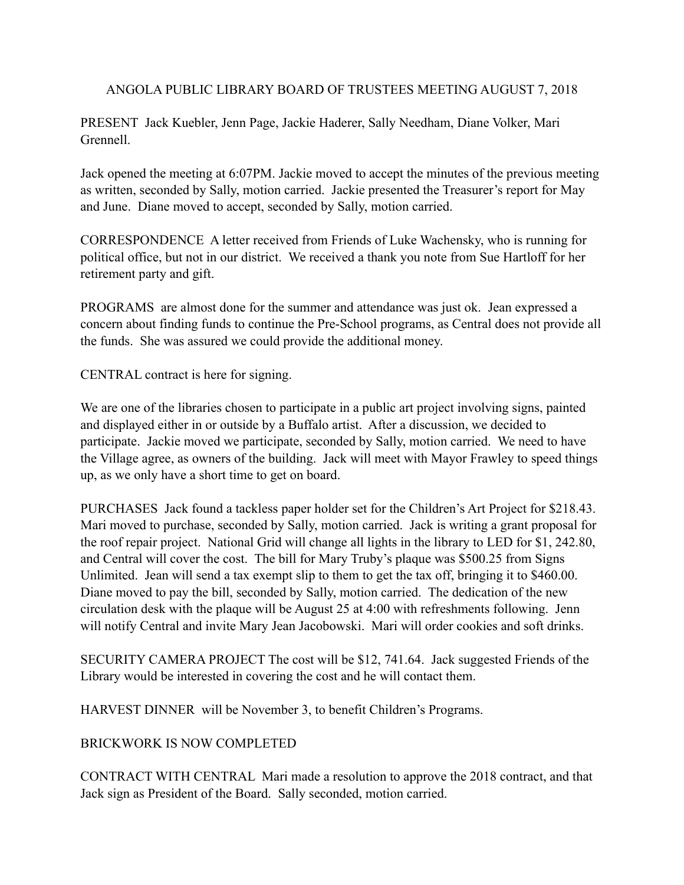ANGOLA PUBLIC LIBRARY BOARD OF TRUSTEES MEETING AUGUST 7, 2018

PRESENT Jack Kuebler, Jenn Page, Jackie Haderer, Sally Needham, Diane Volker, Mari Grennell.

Jack opened the meeting at 6:07PM. Jackie moved to accept the minutes of the previous meeting as written, seconded by Sally, motion carried. Jackie presented the Treasurer's report for May and June. Diane moved to accept, seconded by Sally, motion carried.

CORRESPONDENCE A letter received from Friends of Luke Wachensky, who is running for political office, but not in our district. We received a thank you note from Sue Hartloff for her retirement party and gift.

PROGRAMS are almost done for the summer and attendance was just ok. Jean expressed a concern about finding funds to continue the Pre-School programs, as Central does not provide all the funds. She was assured we could provide the additional money.

CENTRAL contract is here for signing.

We are one of the libraries chosen to participate in a public art project involving signs, painted and displayed either in or outside by a Buffalo artist. After a discussion, we decided to participate. Jackie moved we participate, seconded by Sally, motion carried. We need to have the Village agree, as owners of the building. Jack will meet with Mayor Frawley to speed things up, as we only have a short time to get on board.

PURCHASES Jack found a tackless paper holder set for the Children's Art Project for \$218.43. Mari moved to purchase, seconded by Sally, motion carried. Jack is writing a grant proposal for the roof repair project. National Grid will change all lights in the library to LED for \$1, 242.80, and Central will cover the cost. The bill for Mary Truby's plaque was \$500.25 from Signs Unlimited. Jean will send a tax exempt slip to them to get the tax off, bringing it to \$460.00. Diane moved to pay the bill, seconded by Sally, motion carried. The dedication of the new circulation desk with the plaque will be August 25 at 4:00 with refreshments following. Jenn will notify Central and invite Mary Jean Jacobowski. Mari will order cookies and soft drinks.

SECURITY CAMERA PROJECT The cost will be \$12, 741.64. Jack suggested Friends of the Library would be interested in covering the cost and he will contact them.

HARVEST DINNER will be November 3, to benefit Children's Programs.

## BRICKWORK IS NOW COMPLETED

CONTRACT WITH CENTRAL Mari made a resolution to approve the 2018 contract, and that Jack sign as President of the Board. Sally seconded, motion carried.